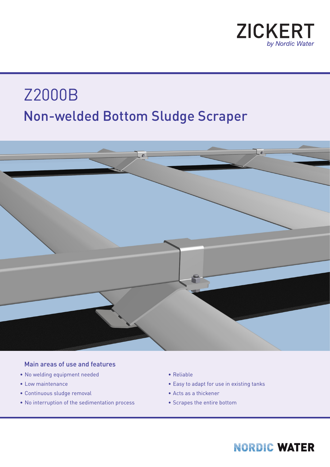

# Non-welded Bottom Sludge Scraper Z2000B



#### Main areas of use and features

- No welding equipment needed
- Low maintenance
- Continuous sludge removal
- No interruption of the sedimentation process
- Reliable
- Easy to adapt for use in existing tanks
- Acts as a thickener
- Scrapes the entire bottom

### **NORDIC WATER**